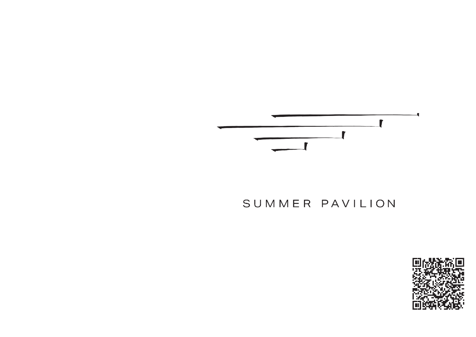

# SUMMER PAVILION

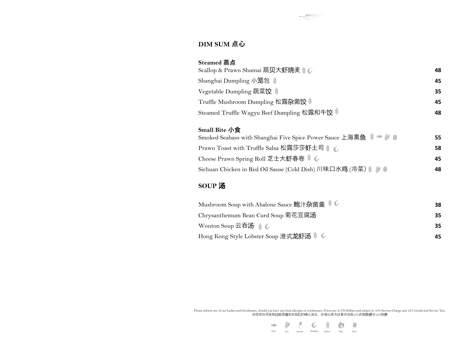#### **DIM SUM 点心**

| <b>Steamed 蒸点</b>                           |    |
|---------------------------------------------|----|
| Scallop & Prawn Shumai 扇贝大虾烧麦 $\mathcal{C}$ | 48 |
| Shanghai Dumpling 小笼包 尊                     | 45 |
| Vegetable Dumpling 蔬菜饺                      | 35 |
| Truffle Mushroom Dumpling 松露杂菌饺             | 45 |
| Steamed Truffle Wagyu Beef Dumpling 松露和牛饺 # | 48 |

#### **Small Bite 小食**

| $\mathbf{O}$ and Diversity                                  |    |
|-------------------------------------------------------------|----|
| Smoked Seabass with Shanghai Five Spice Power Sauce 上海熏鱼 》  | 55 |
| Prawn Toast with Truffle Salsa 松露莎莎虾土司 》                    | 58 |
| Cheese Prawn Spring Roll 芝士大虾春卷 》                           | 45 |
| Sichuan Chicken in Red Oil Sause (Cold Dish) 川味口水鸡 (冷菜) 》 ● | 48 |

### **SOUP 汤**

| Mushroom Soup with Abalone Sauce 鲍汁杂菌羹 》      | 38 |
|-----------------------------------------------|----|
| Chrysanthemum Bean Curd Soup 菊花豆腐汤            | 35 |
| Wonton Soup 云吞汤 きで                            | 35 |
| Hong Kong Style Lobster Soup 港式龙虾汤 》 <i>G</i> | 45 |

Please inform one of our Ladies and Gentlemen, should you have any food allergies or intolerance. Prices are in US Dollars and subject to 10% Service Charge and 12% Goods and Service Tax<br>如您有任何食物过敏源请告知我们的绅士淑女,价格以美元计算并加收10%



 $\frac{1}{\sqrt{1-\frac{1}{\sqrt{1-\frac{1}{\sqrt{1-\frac{1}{\sqrt{1-\frac{1}{\sqrt{1-\frac{1}{\sqrt{1-\frac{1}{\sqrt{1-\frac{1}{\sqrt{1-\frac{1}{\sqrt{1-\frac{1}{\sqrt{1-\frac{1}{\sqrt{1-\frac{1}{\sqrt{1-\frac{1}{\sqrt{1-\frac{1}{\sqrt{1-\frac{1}{\sqrt{1-\frac{1}{\sqrt{1-\frac{1}{\sqrt{1-\frac{1}{\sqrt{1-\frac{1}{\sqrt{1-\frac{1}{\sqrt{1-\frac{1}{\sqrt{1-\frac{1}{\sqrt{1-\frac{1}{\sqrt{1-\frac{1}{\sqrt{1-\frac{1$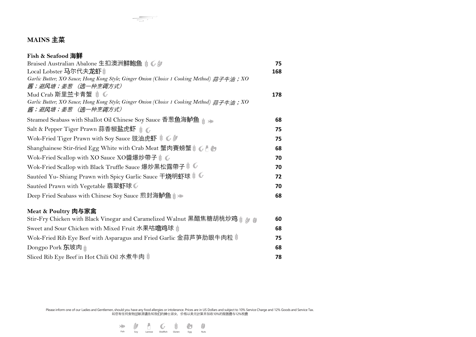## **MAINS 主菜**

| Fish & Seafood 海鲜                                                                         |     |
|-------------------------------------------------------------------------------------------|-----|
| Braised Australian Abalone 生扣澳洲鲜鲍鱼 》 6 #                                                  | 75  |
| Local Lobster 马尔代夫龙虾                                                                      | 168 |
| Garlic Butter; XO Sauce; Hong Kong Style; Ginger Onion (Choice 1 Cooking Method) 蒜子牛油; XO |     |
| 酱;避风塘;姜葱 (选一种烹调方式)                                                                        |     |
| Mud Crab 斯里兰卡青蟹 爹 6                                                                       | 178 |
| Garlic Butter; XO Sauce; Hong Kong Style; Ginger Onion (Choice 1 Cooking Method) 蒜子牛油; XO |     |
| 酱;避风塘;姜葱 (选一种烹调方式)                                                                        |     |
| Steamed Seabass with Shallot Oil Chinese Soy Sauce 香葱鱼海鲈鱼                                 | 68  |
| Salt & Pepper Tiger Prawn 蒜香椒盐虎虾 きで                                                       | 75  |
| Wok-Fried Tiger Prawn with Soy Sauce 豉油虎虾 》 6                                             | 75  |
| Shanghainese Stir-fried Egg White with Crab Meat 蟹肉賽螃蟹 》                                  | 68  |
| Wok-Fried Scallop with XO Sauce XO醬爆炒帶子 》                                                 | 70  |
| Wok-Fried Scallop with Black Truffle Sauce 爆炒黑松露帶子 》                                      | 70  |
| Sautéed Yu-Shiang Prawn with Spicy Garlic Sauce 干烧明虾球 》                                   | 72  |
| Sautéed Prawn with Vegetable 翡翠虾球 •                                                       | 70  |
| Deep Fried Seabass with Chinese Soy Sauce 煎封海鲈鱼 》                                         | 68  |
| Meat & Poultry 肉与家禽                                                                       |     |
|                                                                                           | 60  |
| Sweet and Sour Chicken with Mixed Fruit 水果咕噜鸡球                                            | 68  |
| Wok-Fried Rib Eye Beef with Asparagus and Fried Garlic 金蒜芦笋肋眼牛肉粒                          | 75  |
| Dongpo Pork <b>东</b> 坡肉                                                                   | 68  |
| Sliced Rib Eye Beef in Hot Chili Oil 水煮牛肉 。                                               | 78  |

Please inform one of our Ladies and Gentlemen, should you have any food allergies or intolerance. Prices are in US Dollars and subject to 10% Service Charge and 12% Goods and Service Tax<br>如果方法的网络以下的时代的事件的文件和文件的文件的文件的文件的文件的